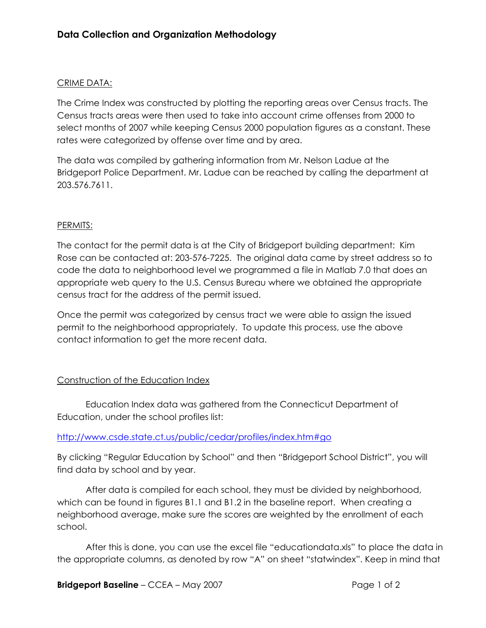## CRIME DATA:

The Crime Index was constructed by plotting the reporting areas over Census tracts. The Census tracts areas were then used to take into account crime offenses from 2000 to select months of 2007 while keeping Census 2000 population figures as a constant. These rates were categorized by offense over time and by area.

The data was compiled by gathering information from Mr. Nelson Ladue at the Bridgeport Police Department. Mr. Ladue can be reached by calling the department at 203.576.7611.

## PERMITS:

The contact for the permit data is at the City of Bridgeport building department: Kim Rose can be contacted at: 203-576-7225. The original data came by street address so to code the data to neighborhood level we programmed a file in Matlab 7.0 that does an appropriate web query to the U.S. Census Bureau where we obtained the appropriate census tract for the address of the permit issued.

Once the permit was categorized by census tract we were able to assign the issued permit to the neighborhood appropriately. To update this process, use the above contact information to get the more recent data.

## Construction of the Education Index

 Education Index data was gathered from the Connecticut Department of Education, under the school profiles list:

## http://www.csde.state.ct.us/public/cedar/profiles/index.htm#go

By clicking "Regular Education by School" and then "Bridgeport School District", you will find data by school and by year.

 After data is compiled for each school, they must be divided by neighborhood, which can be found in figures B1.1 and B1.2 in the baseline report. When creating a neighborhood average, make sure the scores are weighted by the enrollment of each school.

 After this is done, you can use the excel file "educationdata.xls" to place the data in the appropriate columns, as denoted by row "A" on sheet "statwindex". Keep in mind that